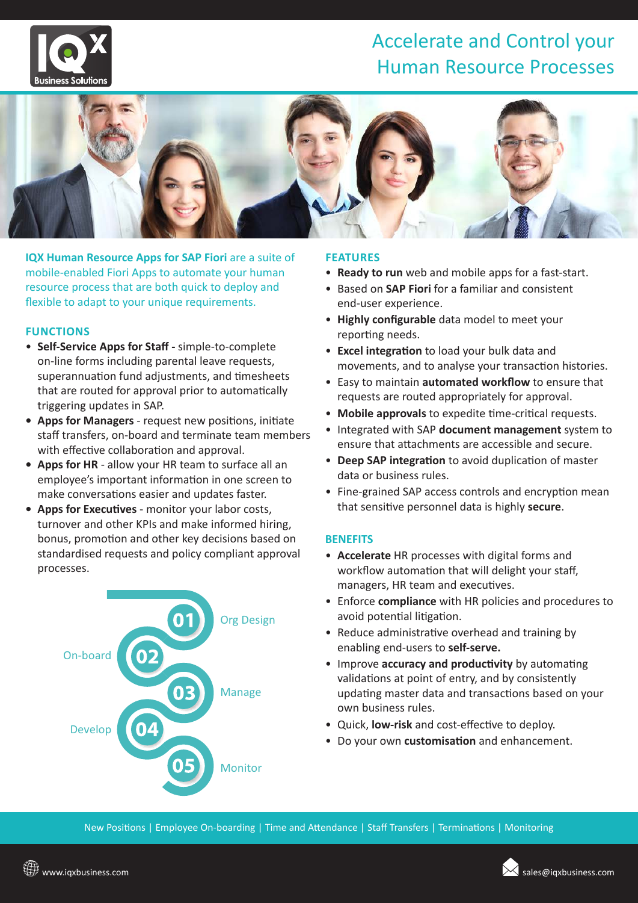

### Accelerate and Control your Human Resource Processes



**IQX Human Resource Apps for SAP Fiori** are a suite of mobile-enabled Fiori Apps to automate your human resource process that are both quick to deploy and flexible to adapt to your unique requirements.

#### **FUNCTIONS**

- **Self-Service Apps for Staff** simple-to-complete on-line forms including parental leave requests, superannuation fund adjustments, and timesheets that are routed for approval prior to automatically triggering updates in SAP.
- **• Apps for Managers** request new positions, initiate staff transfers, on-board and terminate team members with effective collaboration and approval.
- **• Apps for HR**  allow your HR team to surface all an employee's important information in one screen to make conversations easier and updates faster.
- **• Apps for Executives** monitor your labor costs, turnover and other KPIs and make informed hiring, bonus, promotion and other key decisions based on standardised requests and policy compliant approval processes.



#### **FEATURES**

- **Ready to run** web and mobile apps for a fast-start.
- Based on **SAP Fiori** for a familiar and consistent end-user experience.
- **Highly configurable** data model to meet your reporting needs.
- **Excel integration** to load your bulk data and movements, and to analyse your transaction histories.
- Easy to maintain **automated workflow** to ensure that requests are routed appropriately for approval.
- **Mobile approvals** to expedite time-critical requests.
- Integrated with SAP **document management** system to ensure that attachments are accessible and secure.
- **Deep SAP integration** to avoid duplication of master data or business rules.
- Fine-grained SAP access controls and encryption mean that sensitive personnel data is highly **secure**.

#### **BENEFITS**

- **Accelerate** HR processes with digital forms and workflow automation that will delight your staff, managers, HR team and executives.
- Enforce **compliance** with HR policies and procedures to avoid potential litigation.
- Reduce administrative overhead and training by enabling end-users to **self-serve.**
- Improve **accuracy and productivity** by automating validations at point of entry, and by consistently updating master data and transactions based on your own business rules.
- Quick, **low-risk** and cost-effective to deploy.
- Do your own **customisation** and enhancement.

New Positions | Employee On-boarding | Time and Attendance | Staff Transfers | Terminations | Monitoring